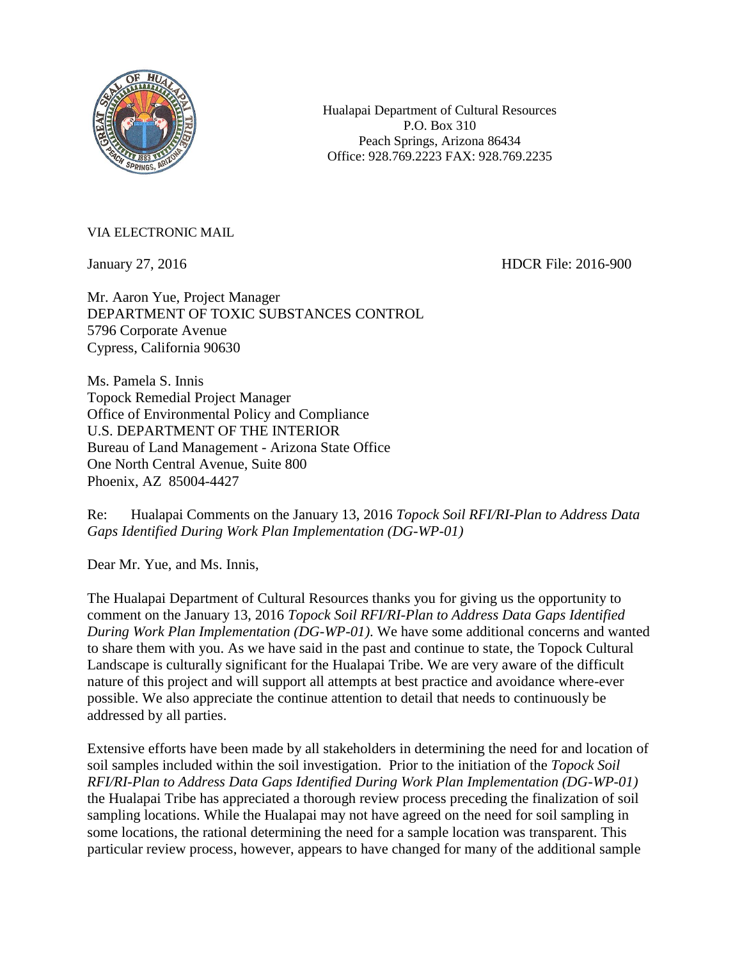

Hualapai Department of Cultural Resources P.O. Box 310 Peach Springs, Arizona 86434 Office: 928.769.2223 FAX: 928.769.2235

## VIA ELECTRONIC MAIL

January 27, 2016 HDCR File: 2016-900

Mr. Aaron Yue, Project Manager DEPARTMENT OF TOXIC SUBSTANCES CONTROL 5796 Corporate Avenue Cypress, California 90630

Ms. Pamela S. Innis Topock Remedial Project Manager Office of Environmental Policy and Compliance U.S. DEPARTMENT OF THE INTERIOR Bureau of Land Management - Arizona State Office One North Central Avenue, Suite 800 Phoenix, AZ 85004-4427

Re: Hualapai Comments on the January 13, 2016 *Topock Soil RFI/RI-Plan to Address Data Gaps Identified During Work Plan Implementation (DG-WP-01)*

Dear Mr. Yue, and Ms. Innis,

The Hualapai Department of Cultural Resources thanks you for giving us the opportunity to comment on the January 13, 2016 *Topock Soil RFI/RI-Plan to Address Data Gaps Identified During Work Plan Implementation (DG-WP-01)*. We have some additional concerns and wanted to share them with you. As we have said in the past and continue to state, the Topock Cultural Landscape is culturally significant for the Hualapai Tribe. We are very aware of the difficult nature of this project and will support all attempts at best practice and avoidance where-ever possible. We also appreciate the continue attention to detail that needs to continuously be addressed by all parties.

Extensive efforts have been made by all stakeholders in determining the need for and location of soil samples included within the soil investigation. Prior to the initiation of the *Topock Soil RFI/RI-Plan to Address Data Gaps Identified During Work Plan Implementation (DG-WP-01)*  the Hualapai Tribe has appreciated a thorough review process preceding the finalization of soil sampling locations. While the Hualapai may not have agreed on the need for soil sampling in some locations, the rational determining the need for a sample location was transparent. This particular review process, however, appears to have changed for many of the additional sample